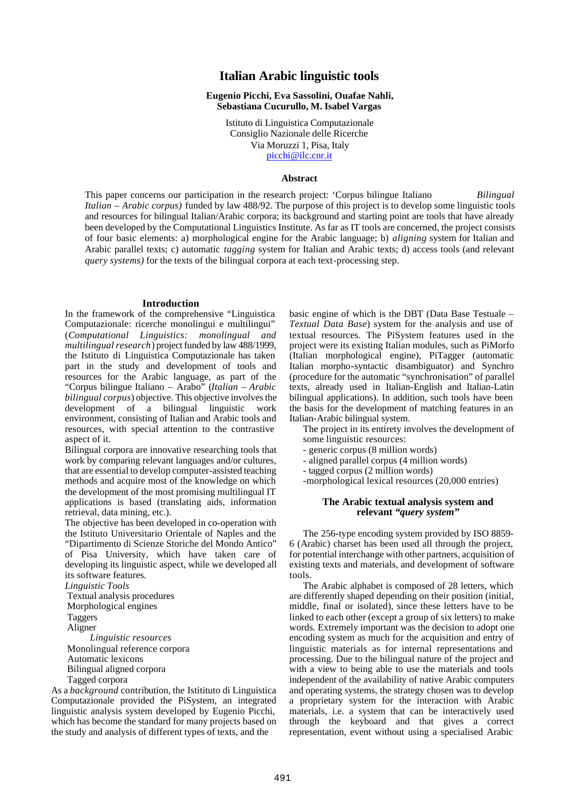# **Italian Arabic linguistic tools**

## **Eugenio Picchi, Eva Sassolini, Ouafae Nahli, Sebastiana Cucurullo, M. Isabel Vargas**

Istituto di Linguistica Computazionale Consiglio Nazionale delle Ricerche Via Moruzzi 1, Pisa, Italy picchi@ilc.cnr.it

### **Abstract**

This paper concerns our participation in the research project: 'Corpus bilingue Italiano *Bilingual Italian – Arabic corpus)* funded by law 488/92. The purpose of this project is to develop some linguistic tools and resources for bilingual Italian/Arabic corpora; its background and starting point are tools that have already been developed by the Computational Linguistics Institute. As far as IT tools are concerned, the project consists of four basic elements: a) morphological engine for the Arabic language; b) *aligning* system for Italian and Arabic parallel texts; c) automatic *tagging* system for Italian and Arabic texts; d) access tools (and relevant *query systems)* for the texts of the bilingual corpora at each text-processing step.

### **Introduction**

In the framework of the comprehensive "Linguistica Computazionale: ricerche monolingui e multilingui" (*Computational Linguistics: monolingual and multilingual research*) project funded by law 488/1999, the Istituto di Linguistica Computazionale has taken part in the study and development of tools and resources for the Arabic language, as part of the "Corpus bilingue Italiano – Arabo" (*Italian – Arabic bilingual corpus*) objective. This objective involves the development of a bilingual linguistic work environment, consisting of Italian and Arabic tools and resources, with special attention to the contrastive aspect of it.

Bilingual corpora are innovative researching tools that work by comparing relevant languages and/or cultures, that are essential to develop computer-assisted teaching methods and acquire most of the knowledge on which the development of the most promising multilingual IT applications is based (translating aids, information retrieval, data mining, etc.).

The objective has been developed in co-operation with the Istituto Universitario Orientale of Naples and the "Dipartimento di Scienze Storiche del Mondo Antico" of Pisa University, which have taken care of developing its linguistic aspect, while we developed all its software features*.*

*Linguistic Tools*

 Textual analysis procedures Morphological engines

Taggers

Aligner

 *Linguistic resources* Monolingual reference corpora Automatic lexicons Bilingual aligned corpora Tagged corpora

As a *background* contribution, the Istitituto di Linguistica Computazionale provided the PiSystem, an integrated linguistic analysis system developed by Eugenio Picchi, which has become the standard for many projects based on the study and analysis of different types of texts, and the

basic engine of which is the DBT (Data Base Testuale – *Textual Data Base*) system for the analysis and use of textual resources. The PiSystem features used in the project were its existing Italian modules, such as PiMorfo (Italian morphological engine), PiTagger (automatic Italian morpho-syntactic disambiguator) and Synchro (procedure for the automatic "synchronisation" of parallel texts, already used in Italian-English and Italian-Latin bilingual applications). In addition, such tools have been the basis for the development of matching features in an Italian-Arabic bilingual system.

The project in its entirety involves the development of some linguistic resources:

- generic corpus (8 million words)
- aligned parallel corpus (4 million words)
- tagged corpus (2 million words)
- -morphological lexical resources (20,000 entries)

# **The Arabic textual analysis system and relevant "***query system***"**

The 256-type encoding system provided by ISO 8859- 6 (Arabic) charset has been used all through the project, for potential interchange with other partners, acquisition of existing texts and materials, and development of software tools.

The Arabic alphabet is composed of 28 letters, which are differently shaped depending on their position (initial, middle, final or isolated), since these letters have to be linked to each other (except a group of six letters) to make words. Extremely important was the decision to adopt one encoding system as much for the acquisition and entry of linguistic materials as for internal representations and processing. Due to the bilingual nature of the project and with a view to being able to use the materials and tools independent of the availability of native Arabic computers and operating systems, the strategy chosen was to develop a proprietary system for the interaction with Arabic materials, i.e. a system that can be interactively used through the keyboard and that gives a correct representation, event without using a specialised Arabic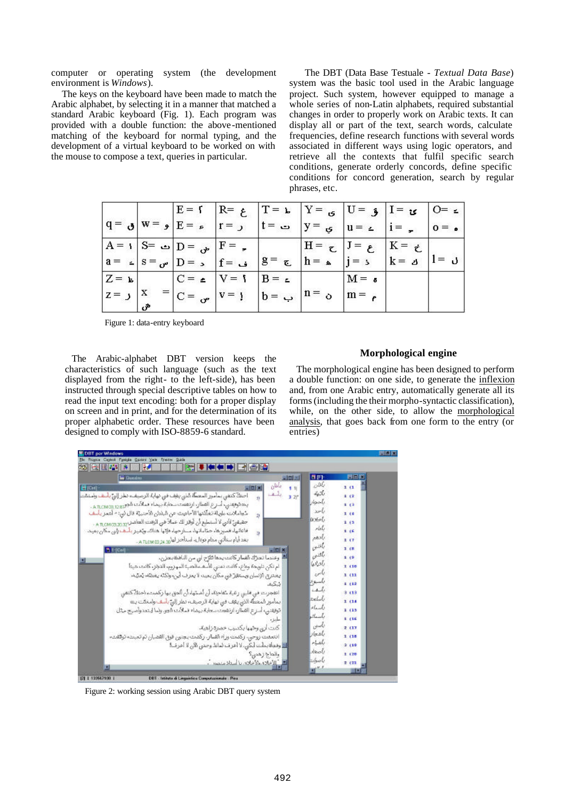computer or operating system (the development environment is *Windows*).

 The keys on the keyboard have been made to match the Arabic alphabet, by selecting it in a manner that matched a standard Arabic keyboard (Fig. 1). Each program was provided with a double function: the above-mentioned matching of the keyboard for normal typing, and the development of a virtual keyboard to be worked on with the mouse to compose a text, queries in particular.

 The DBT (Data Base Testuale - *Textual Data Base*) system was the basic tool used in the Arabic language project. Such system, however equipped to manage a whole series of non-Latin alphabets, required substantial changes in order to properly work on Arabic texts. It can display all or part of the text, search words, calculate frequencies, define research functions with several words associated in different ways using logic operators, and retrieve all the contexts that fulfil specific search conditions, generate orderly concords, define specific conditions for concord generation, search by regular phrases, etc.

|                  |              |                                                                    | $E = \int  E  = \int  T  = \int  T  = \int  T  = \int  T  = \int  T $ |                   |                   |                   | $ O=$ $\leq$ $ $ |
|------------------|--------------|--------------------------------------------------------------------|-----------------------------------------------------------------------|-------------------|-------------------|-------------------|------------------|
|                  |              |                                                                    | $ q = g $ $w = g E = a$ $r = 1$ $s = 1$ $s = 1$ $s = 1$ $s = 1$       |                   |                   |                   | $0 = 0$          |
|                  |              | $ A = 1 S = \bigcup_{i=1}^{n}  D = \bigcup_{i=1}^{n}  F = \square$ |                                                                       | $H = \mathcal{L}$ | $J = \varepsilon$ | $K = \mathcal{L}$ |                  |
|                  |              | $ a =  s =  b - b $ = $ f =  b - b $                               | $ g = \tau_k $ $ h = \mu_k $ $ j = 3$                                 |                   |                   |                   | $ 1=$ J          |
| $Z = \mathbf{k}$ |              | $ C = \triangle$ $ V = 1$                                          | $ B = 2 $                                                             |                   | $M = \sigma$      |                   |                  |
| $ z = z $        | $\mathbf{X}$ |                                                                    | $ C = \bigcup_{v \in V}  v = 1 $ $ b = \bigcup_{v \in V}$             | $\ln =$           | $m = e$           |                   |                  |

Figure 1: data-entry keyboard

 The Arabic-alphabet DBT version keeps the characteristics of such language (such as the text displayed from the right- to the left-side), has been instructed through special descriptive tables on how to read the input text encoding: both for a proper display on screen and in print, and for the determination of its proper alphabetic order. These resources have been designed to comply with ISO-8859-6 standard.

#### **Morphological engine**

 The morphological engine has been designed to perform a double function: on one side, to generate the inflexion and, from one Arabic entry, automatically generate all its forms (including the their morpho-syntactic classification), while, on the other side, to allow the morphological analysis, that goes back from one form to the entry (or entries)



Figure 2: working session using Arabic DBT query system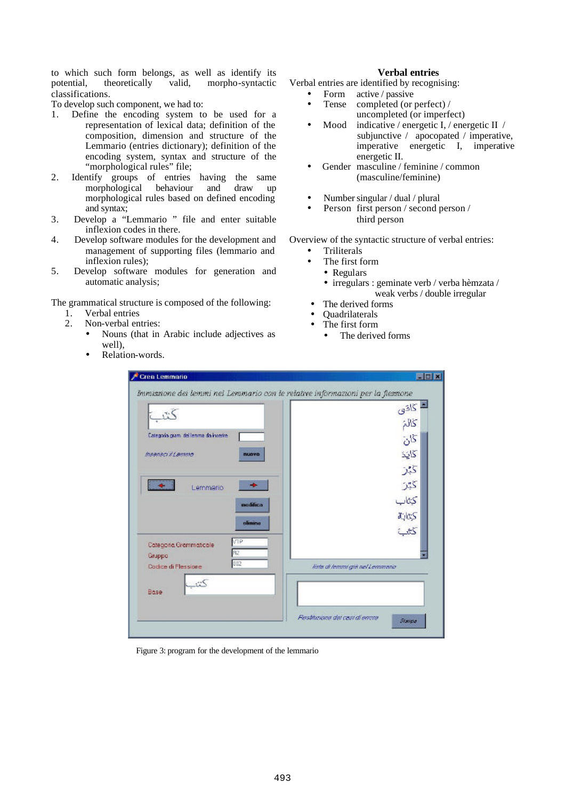to which such form belongs, as well as identify its potential, theoretically valid, morpho-syntactic classifications.

To develop such component, we had to:

- 1. Define the encoding system to be used for a representation of lexical data; definition of the composition, dimension and structure of the Lemmario (entries dictionary); definition of the encoding system, syntax and structure of the "morphological rules" file;
- 2. Identify groups of entries having the same morphological behaviour and draw up morphological rules based on defined encoding and syntax;
- 3. Develop a "Lemmario " file and enter suitable inflexion codes in there.
- 4. Develop software modules for the development and management of supporting files (lemmario and inflexion rules);
- 5. Develop software modules for generation and automatic analysis;

The grammatical structure is composed of the following:

- 1. Verbal entries<br>2. Non-verbal en
- Non-verbal entries:
	- Nouns (that in Arabic include adjectives as well),
	- Relation-words.

### **Verbal entries**

Verbal entries are identified by recognising:

- Form active / passive<br>• Tense completed (or
- completed (or perfect) / uncompleted (or imperfect)
- Mood indicative / energetic I, / energetic II / subjunctive / apocopated / imperative, imperative energetic I, imperative energetic II.
- Gender masculine / feminine / common (masculine/feminine)
- Number singular / dual / plural
- Person first person / second person / third person

Overview of the syntactic structure of verbal entries:

- Triliterals
- The first form
	- Regulars
	- irregulars : geminate verb / verba hèmzata / weak verbs / double irregular
- The derived forms
- Quadrilaterals
- The first form
	- The derived forms

|                                              | ڪ گاڏي                         |
|----------------------------------------------|--------------------------------|
|                                              | 205                            |
| Categoria grami dell'enime da inserire-      | 55                             |
| msenso il Lemma<br>nuovo                     | كايد                           |
|                                              | كبتر                           |
| Lemmario                                     | 25                             |
| nodifica                                     | كتاب                           |
| elinine                                      | 动物                             |
|                                              | كثفية                          |
| VTP<br>Categoria Grammaticale<br>R2          |                                |
| Gruppo<br>002<br><b>Dactice di Flessione</b> | lista di lemmi già nel Lemmano |
| كثت<br>Base                                  |                                |

Figure 3: program for the development of the lemmario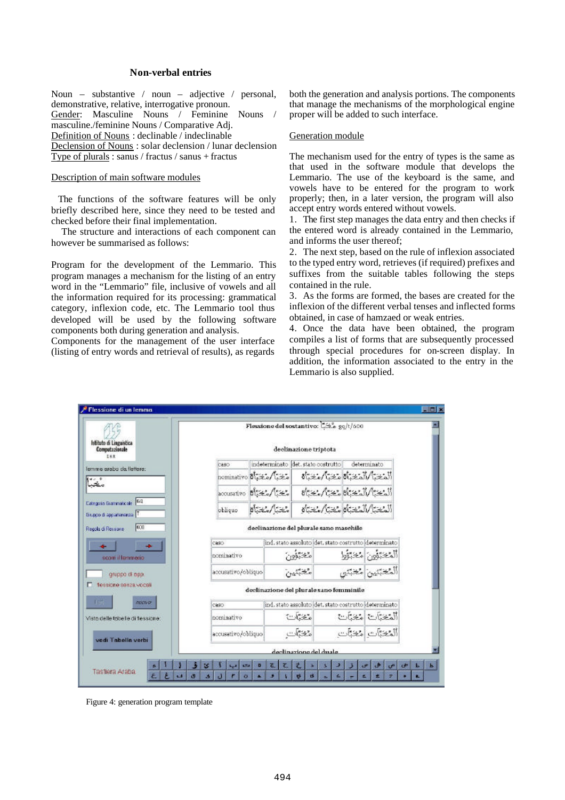# **Non-verbal entries**

Noun – substantive / noun – adjective / personal, demonstrative, relative, interrogative pronoun. Gender: Masculine Nouns / Feminine Nouns / masculine./feminine Nouns / Comparative Adj. Definition of Nouns : declinable / indeclinable Declension of Nouns : solar declension / lunar declension Type of plurals : sanus / fractus / sanus + fractus

### Description of main software modules

 The functions of the software features will be only briefly described here, since they need to be tested and checked before their final implementation.

 The structure and interactions of each component can however be summarised as follows:

Program for the development of the Lemmario. This program manages a mechanism for the listing of an entry word in the "Lemmario" file, inclusive of vowels and all the information required for its processing: grammatical category, inflexion code, etc. The Lemmario tool thus developed will be used by the following software components both during generation and analysis.

Components for the management of the user interface (listing of entry words and retrieval of results), as regards

both the generation and analysis portions. The components that manage the mechanisms of the morphological engine proper will be added to such interface.

## Generation module

The mechanism used for the entry of types is the same as that used in the software module that develops the Lemmario. The use of the keyboard is the same, and vowels have to be entered for the program to work properly; then, in a later version, the program will also accept entry words entered without vowels.

1. The first step manages the data entry and then checks if the entered word is already contained in the Lemmario, and informs the user thereof;

2. The next step, based on the rule of inflexion associated to the typed entry word, retrieves (if required) prefixes and suffixes from the suitable tables following the steps contained in the rule.

3. As the forms are formed, the bases are created for the inflexion of the different verbal tenses and inflected forms obtained, in case of hamzaed or weak entries.

4. Once the data have been obtained, the program compiles a list of forms that are subsequently processed through special procedures for on-screen display. In addition, the information associated to the entry in the Lemmario is also supplied.



Figure 4: generation program template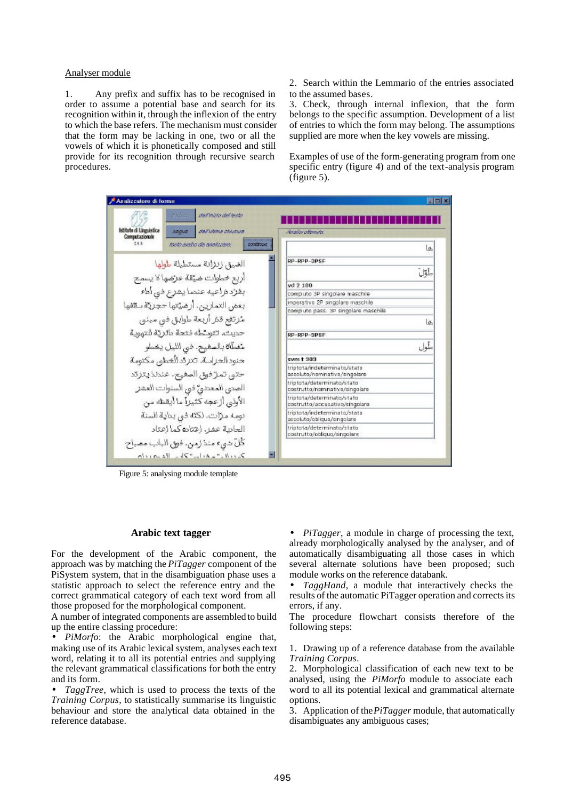### Analyser module

1. Any prefix and suffix has to be recognised in order to assume a potential base and search for its recognition within it, through the inflexion of the entry to which the base refers. The mechanism must consider that the form may be lacking in one, two or all the vowels of which it is phonetically composed and still provide for its recognition through recursive search procedures.

2. Search within the Lemmario of the entries associated to the assumed bases.

3. Check, through internal inflexion, that the form belongs to the specific assumption. Development of a list of entries to which the form may belong. The assumptions supplied are more when the key vowels are missing.

Examples of use of the form-generating program from one specific entry (figure 4) and of the text-analysis program (figure 5).

| Analizzatore di forme                     |                                            | FEX                                                           |
|-------------------------------------------|--------------------------------------------|---------------------------------------------------------------|
|                                           | Woodkick<br>dall'inizio del testo          |                                                               |
| Istituto di Linguistica<br>Computazionale | dall'istima chiuswa<br>300.00              | Accelia collection                                            |
| txe                                       | testo avalio da analizzare.<br>ponstateurz | l o                                                           |
|                                           | الضيق زنزانة مستطيلة طولها                 | RP-RPP-3PSF                                                   |
|                                           |                                            | طول                                                           |
|                                           | أربع خطوات ضيقة عزضها لا يسمح              | $vd$ 2 100                                                    |
|                                           | بفزد ذراعيه عندما يشرع فبي أداء            | compiuto 3P singolare maschile                                |
|                                           | بعض التمارين، أرضيّتها حجريّة سقفها        | imperativo 2P singolare maschile                              |
|                                           |                                            | compiuto pass. 3P singolare maschila                          |
|                                           | مرتفع قئر أربعة طوابق في مبني              | is.                                                           |
|                                           | حديث، تتوسّطه فتحة بالريّة التهوية         | RP-RPP-3PSF                                                   |
|                                           | متفطّأة بالصفيح. في الليل يخطو             | طول                                                           |
|                                           | حنود الجزاسة. تتزدّد الْخطور مكتومة        | sym $t303$                                                    |
|                                           | حتى تمازفوق الصفيح. عندلذيتزقد             | triptota/indeterminate/state<br>assoluto/nominativo/singolare |
|                                           | الصدى المعددي فو السنوات العشر             | triptota/determinato/stato<br>costrutto/nominativo/singolare  |
|                                           | الأولىي أزعجه كثيرا ما أيقظه من            | triptota/determinato/stato<br>costrutto/accusativo/singolare  |
|                                           | تومه مزات. لكثه في بناية السنة             | triptota/indeterminato/stato<br>assoluto/oblique/singolare    |
|                                           | الحادية عمر. إعتاده كما إعتاد              | triptota/determinato/stato<br>costrutto/obliquo/singolare     |
|                                           | كُلّ شيء منذرمن. فوق الباب مصباح           |                                                               |
|                                           | $\lambda$ ville - Aller - Velle Banch      |                                                               |

Figure 5: analysing module template

# **Arabic text tagger**

For the development of the Arabic component, the approach was by matching the *PiTagger* component of the PiSystem system, that in the disambiguation phase uses a statistic approach to select the reference entry and the correct grammatical category of each text word from all those proposed for the morphological component.

A number of integrated components are assembled to build up the entire classing procedure:

• *PiMorfo*: the Arabic morphological engine that, making use of its Arabic lexical system, analyses each text word, relating it to all its potential entries and supplying the relevant grammatical classifications for both the entry and its form.

• *TaggTree*, which is used to process the texts of the *Training Corpus*, to statistically summarise its linguistic behaviour and store the analytical data obtained in the reference database.

• *PiTagger*, a module in charge of processing the text, already morphologically analysed by the analyser, and of automatically disambiguating all those cases in which several alternate solutions have been proposed; such module works on the reference databank.

• *TaggHand*, a module that interactively checks the results of the automatic PiTagger operation and corrects its errors, if any.

The procedure flowchart consists therefore of the following steps:

1. Drawing up of a reference database from the available *Training Corpus*.

2. Morphological classification of each new text to be analysed, using the *PiMorfo* module to associate each word to all its potential lexical and grammatical alternate options.

3. Application of the *PiTagger* module, that automatically disambiguates any ambiguous cases;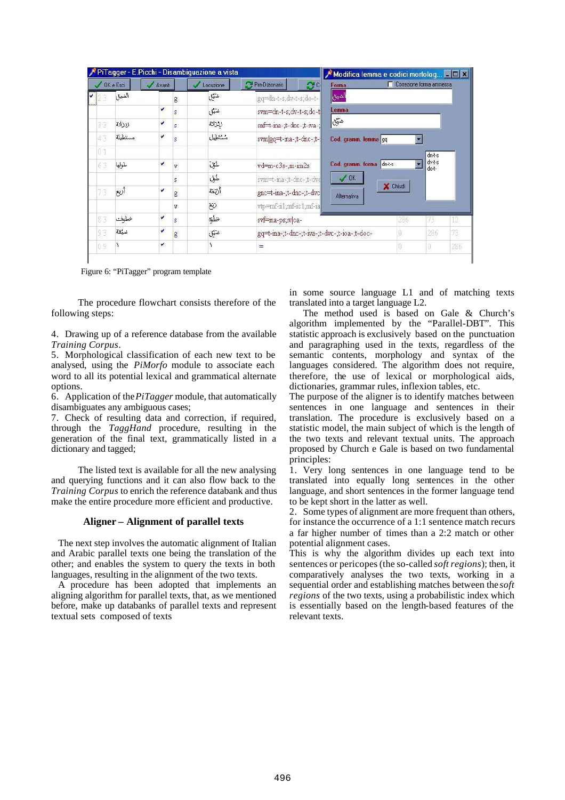|    |           |        |   | PiTagger - E.Picchi - Disambiguazione a vista |                                              | Modifica lemma e codici morfolog <b>E O X</b>  |
|----|-----------|--------|---|-----------------------------------------------|----------------------------------------------|------------------------------------------------|
|    | OK e Esci | Avanti |   | Locuzione                                     | Pre-Dizionario<br>$\mathcal{C}^{\circ}$      | Correzione forma ammessa<br>Forma              |
|    | الضيق     |        | g | صهل                                           | gq=dn-t-s;dv-t-s;do-t-                       | الضيق                                          |
|    |           | v      |   | خنوق                                          | svm=dn-t-s;dv-t-s;do-t                       | Lemma                                          |
| 33 | زيزانة    | v      |   | ردراتة                                        | snf=t-ma-;t-dnc-;t-iva-;                     | ضبعي                                           |
| 43 | مستطيلة   | v      |   | مستطيل                                        | svm gq=t-ina-;t-dnc-;t-                      | Cod. gramm. lemma gq                           |
| 01 |           |        |   |                                               |                                              | $dn-t-s$                                       |
| 63 | طولها     | ۷      | v | طول                                           | $vd = m-c3s - m - im2s$                      | dv-t-s<br>Cod. gramm. forma<br>dn-t-s<br>do-t- |
|    |           |        | S | طول                                           | svm=t-ina-;t-dnc-;t-dvd                      | $\mathcal{S}$ OK                               |
| 73 | ළා්       | v      | g | أزنقة                                         | gnc=t-ina-;t-dnc-;t-dvc                      | X Chiudi<br>Alternativa                        |
|    |           |        | v | Ö                                             | vtp=mf-ii1;mf-ic1;mf-ia                      |                                                |
| 83 | خطوات     | v      | s | خطبته                                         | svf=ma-ps;iv oa-                             | 73<br>286<br>12                                |
| 93 | خرقة      | u      | g | خنثق                                          | gq=t-ina-;t-dnc-;t-iva-;t-dvc-;t-ioa-;t-doc- | 73,<br>286                                     |
|    |           | v      |   |                                               |                                              | 286                                            |

Figure 6: "PiTagger" program template

The procedure flowchart consists therefore of the following steps:

4. Drawing up of a reference database from the available *Training Corpus*.

5. Morphological classification of each new text to be analysed, using the *PiMorfo* module to associate each word to all its potential lexical and grammatical alternate options.

6. Application of the *PiTagger* module, that automatically disambiguates any ambiguous cases;

7. Check of resulting data and correction, if required, through the *TaggHand* procedure, resulting in the generation of the final text, grammatically listed in a dictionary and tagged;

The listed text is available for all the new analysing and querying functions and it can also flow back to the *Training Corpus* to enrich the reference databank and thus make the entire procedure more efficient and productive.

#### **Aligner** *–* **Alignment of parallel texts**

 The next step involves the automatic alignment of Italian and Arabic parallel texts one being the translation of the other; and enables the system to query the texts in both languages, resulting in the alignment of the two texts.

 A procedure has been adopted that implements an aligning algorithm for parallel texts, that, as we mentioned before, make up databanks of parallel texts and represent textual sets composed of texts

in some source language L1 and of matching texts translated into a target language L2.

The method used is based on Gale & Church's algorithm implemented by the "Parallel-DBT". This statistic approach is exclusively based on the punctuation and paragraphing used in the texts, regardless of the semantic contents, morphology and syntax of the languages considered. The algorithm does not require, therefore, the use of lexical or morphological aids, dictionaries, grammar rules, inflexion tables, etc.

The purpose of the aligner is to identify matches between sentences in one language and sentences in their translation. The procedure is exclusively based on a statistic model, the main subject of which is the length of the two texts and relevant textual units. The approach proposed by Church e Gale is based on two fundamental principles:

1. Very long sentences in one language tend to be translated into equally long sentences in the other language, and short sentences in the former language tend to be kept short in the latter as well.

2. Some types of alignment are more frequent than others, for instance the occurrence of a 1:1 sentence match recurs a far higher number of times than a 2:2 match or other potential alignment cases.

This is why the algorithm divides up each text into sentences or pericopes (the so-called *soft regions*); then, it comparatively analyses the two texts, working in a sequential order and establishing matches between the *soft regions* of the two texts, using a probabilistic index which is essentially based on the length-based features of the relevant texts.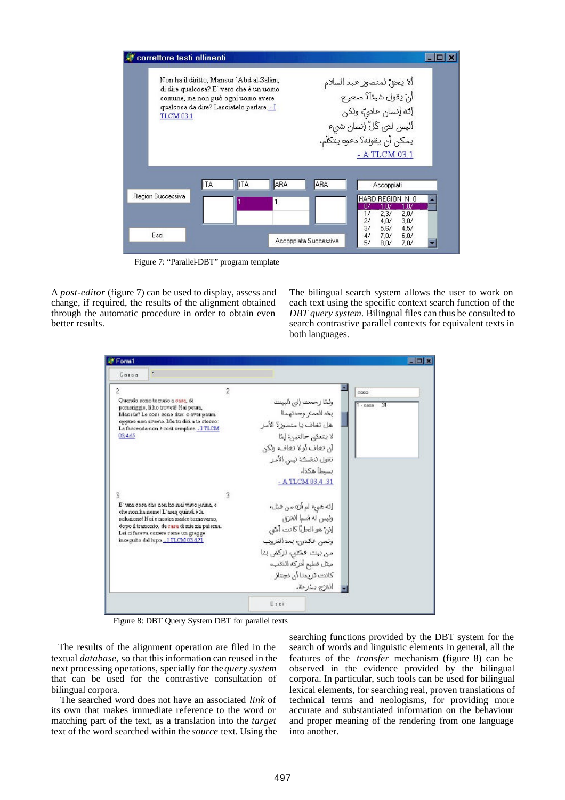

Figure 7: "Parallel-DBT" program template

A *post-editor* (figure 7) can be used to display, assess and change, if required, the results of the alignment obtained through the automatic procedure in order to obtain even better results.

The bilingual search system allows the user to work on each text using the specific context search function of the *DBT query system.* Bilingual files can thus be consulted to search contrastive parallel contexts for equivalent texts in both languages.

| Carca<br>2<br>2<br>Quando sono tornato a cera, di<br>pomerizzio. Il ho trovati! Hai paura.<br>Mansúr? Le cosa sono due: o aver paura.<br>oppure non averne. Ma tu diri a te stesso:<br>La faccenda non è così semplice. - I TLCM                                   | 0.362<br>ولمثا رحعت إلى البيت<br>জ<br>1.2222<br>بخدالعمتر وحدتهما!                                                                                                                             |
|--------------------------------------------------------------------------------------------------------------------------------------------------------------------------------------------------------------------------------------------------------------------|------------------------------------------------------------------------------------------------------------------------------------------------------------------------------------------------|
|                                                                                                                                                                                                                                                                    |                                                                                                                                                                                                |
| 03,4,65                                                                                                                                                                                                                                                            | هل تغاف يا منسور؟ الأمر<br>لا يتعنى حالتين: [ما<br>ان تغاف آولا تغاف، ولكن<br>تقول لنقسك: ليس الأمر<br>بسبطا هكذاء<br>- A TLCM 03,4 .31                                                        |
| 3<br>3<br>E' una cosa che non ho mai visto jonna, e<br>che non ha nome! L'aran onincă è la<br>suluzione! Nui e nustra madre tumavamo.<br>dopo il tramonto, da casa di mia zia paterna.<br>Lei ci fareva comere come un gregge<br>inseguite dal lupo I TLCM 03.4.71 | إنه هيءَ لم أن من قبل،<br>ونيس له أسمأ الغرى<br>إنن هو العل) كانت أمن<br>وتعن فالدون، بعد الغروب<br>من بيت ممتنى، تركض بنا<br>ميثل ضليع أدركه الذكبء<br>كانت تريدنا أن نجتاز<br>المفزج بسترعة. |

Figure 8: DBT Query System DBT for parallel texts

 The results of the alignment operation are filed in the textual *database,* so that this information can reused in the next processing operations, specially for the *query system*  that can be used for the contrastive consultation of bilingual corpora.

 The searched word does not have an associated *link* of its own that makes immediate reference to the word or matching part of the text, as a translation into the *target* text of the word searched within the *source* text. Using the

searching functions provided by the DBT system for the search of words and linguistic elements in general, all the features of the *transfer* mechanism (figure 8) can be observed in the evidence provided by the bilingual corpora. In particular, such tools can be used for bilingual lexical elements, for searching real, proven translations of technical terms and neologisms, for providing more accurate and substantiated information on the behaviour and proper meaning of the rendering from one language into another.